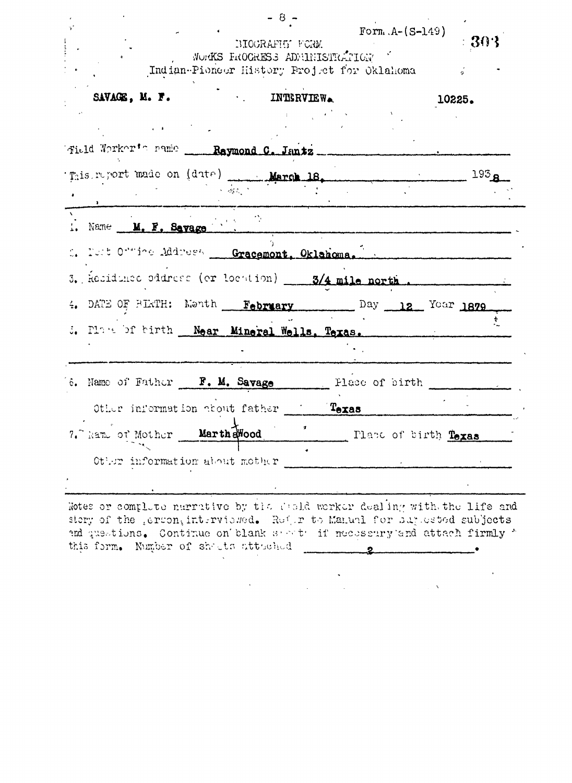|                                                    |                                                                            | Indian-Pioneer History Project for Oklahoma |                      |                  |  |
|----------------------------------------------------|----------------------------------------------------------------------------|---------------------------------------------|----------------------|------------------|--|
| SAVAGE, M. F.                                      |                                                                            | <b>EXAMPLE INTERVIEW.</b>                   |                      | 10225.           |  |
|                                                    |                                                                            |                                             |                      |                  |  |
| Field Worker's name __ Raymond C. Jantz __         |                                                                            |                                             |                      |                  |  |
|                                                    |                                                                            |                                             |                      | 193 <sub>g</sub> |  |
|                                                    | $\mathcal{L}(\mathcal{E}_\mathcal{A}^{(1)},\mathcal{E}_\mathcal{A}^{(2)})$ |                                             |                      |                  |  |
| 1. Name M. F. Savage                               |                                                                            |                                             |                      |                  |  |
| S. Tust Online Address Gracemont, Oklahoma.        |                                                                            |                                             |                      |                  |  |
| 3. Residunce oddress (or location) 3/4 mile north. |                                                                            |                                             |                      |                  |  |
| 4. DATE OF BIRTH: Month February Day 12 Year 1879  |                                                                            |                                             |                      |                  |  |
| 5. Place of birth Near Mineral Wells, Texas.       |                                                                            |                                             |                      |                  |  |
|                                                    |                                                                            |                                             |                      |                  |  |
| 'é. Name of Father F. M. Savage                    |                                                                            | Flace of birth                              |                      |                  |  |
| Other information about father Texas               |                                                                            |                                             |                      |                  |  |
| 7. Name of Mother                                  | Marth awood                                                                |                                             | Plane of birth Texas |                  |  |
|                                                    |                                                                            |                                             |                      |                  |  |

md questions. Continue on blank service if meessary and attach firmly this form. Number of she ts attached  $\mathbf{v}^{(1)}$ 

> $\frac{1}{2} \left( \frac{1}{2} \right)$  $\label{eq:2.1} \frac{1}{\sqrt{2\pi}}\int_{\mathbb{R}^3}\frac{1}{\sqrt{2\pi}}\left(\frac{1}{\sqrt{2\pi}}\right)^2\frac{1}{\sqrt{2\pi}}\int_{\mathbb{R}^3}\frac{1}{\sqrt{2\pi}}\left(\frac{1}{\sqrt{2\pi}}\right)^2\frac{1}{\sqrt{2\pi}}\frac{1}{\sqrt{2\pi}}\int_{\mathbb{R}^3}\frac{1}{\sqrt{2\pi}}\frac{1}{\sqrt{2\pi}}\frac{1}{\sqrt{2\pi}}\frac{1}{\sqrt{2\pi}}\frac{1}{\sqrt{2\pi}}\frac{1}{\sqrt{2\$  $\label{eq:2.1} \frac{1}{2} \sum_{i=1}^n \frac{1}{2} \sum_{j=1}^n \frac{1}{2} \sum_{j=1}^n \frac{1}{2} \sum_{j=1}^n \frac{1}{2} \sum_{j=1}^n \frac{1}{2} \sum_{j=1}^n \frac{1}{2} \sum_{j=1}^n \frac{1}{2} \sum_{j=1}^n \frac{1}{2} \sum_{j=1}^n \frac{1}{2} \sum_{j=1}^n \frac{1}{2} \sum_{j=1}^n \frac{1}{2} \sum_{j=1}^n \frac{1}{2} \sum_{j=1}^n \frac{$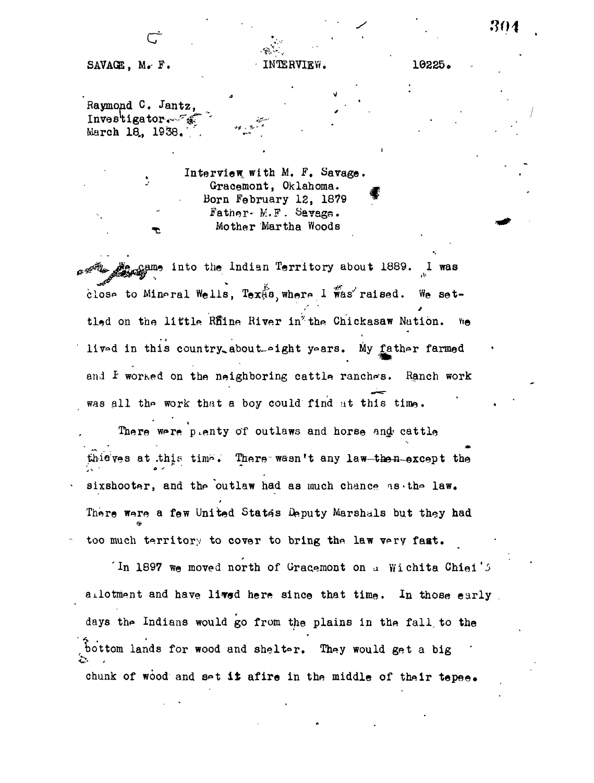## SAVAGE, M.F. INTERVIEW. 10225.

Raymond C. Jantz,  $Investingator - \mathscr{F}$ March 18., 1938.

> Interview, with M. F. Savage. Gracemont, Oklahoma. Born February 12, 1879 Father- M.F. Savage. Mother Martha Woods

**\*** *A*<sub>*a*</sub><sub> $\alpha$ </sub>& *p*<sub>*a*</sub><sub> $\alpha$ </sub> into the Indian Territory about 1889. I was close to Mineral Wells, Tex $\stackrel{p}{\alpha}$ s, where  $1$  was raised. We seton the little Rfine River in<sup>%</sup> the Chickasaw Nation. We lived in this country about--ight years. My father farmed and I worked on the neighboring cattle ranches. Ranch work was all the work that a boy could find at this time.

There were plenty of outlaws and horse and cattle thieves at this time. There wasn't any law-then-except the sixshooter, and the outlaw had as much chance  $\texttt{is-thr\_law}$ . There were a few United States Deputy Marshals but they had too much territory to cover to bring the law very faat.

 $\ln$  1897 we moved north of Gracemont on a Wichita Chief's allotment and have lived here since that time. In those early days the Indians would go from the plains in the fall to the bottom lands for wood and shelter. They would get a big chunk of wood and set it afire in the middle of their tepee.